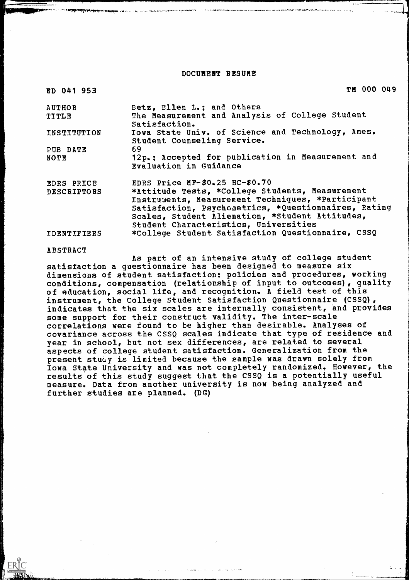#### DOCUMENT RESUME

| ED 041 953         | <b>TM 000 049</b>                                                                                                                                                                                                                                        |
|--------------------|----------------------------------------------------------------------------------------------------------------------------------------------------------------------------------------------------------------------------------------------------------|
| <b>AUTHOR</b>      | Betz, Ellen L.; and Others                                                                                                                                                                                                                               |
| TITLE              | The Measurement and Analysis of College Student<br>Satisfaction.                                                                                                                                                                                         |
| INSTITUTION        | Iowa State Univ. of Science and Technology, Ames.<br>Student Counseling Service.                                                                                                                                                                         |
| PUB DATE           | 69                                                                                                                                                                                                                                                       |
| NOTE               | 12p.; Accepted for publication in Measurement and<br>Evaluation in Guidance                                                                                                                                                                              |
| EDRS PRICE         | EDRS Price $MF-$0.25$ HC-\$0.70                                                                                                                                                                                                                          |
| <b>DESCRIPTORS</b> | *Attitude Tests, *College Students, Measurement<br>Instruments, Measurement Techniques, *Participant<br>Satisfaction, Psychometrics, *Questionnaires, Rating<br>Scales, Student Alienation, *Student Attitudes,<br>Student Characteristics, Universities |
| IDENTIFIERS        | *College Student Satisfaction Questionnaire, CSSQ                                                                                                                                                                                                        |
|                    |                                                                                                                                                                                                                                                          |

#### ABSTRACT

ERIC

As part of an intensive study of college student satisfaction a questionnaire has been designed to measure six dimensions of student satisfaction; policies and procedures, working conditions, compensation (relationship of input to outcomes), quality of education, social life, and recognition. A field test of this instrument, the College Student Satisfaction Questionnaire (CSSQ), indicates that the six scales are internally consistent, and provides some support for their construct validity. The inter-scale correlations were found to be higher than desirable. Analyses of covariance across the CSSQ scales indicate that type of residence and year in school, but not sex differences, are related to several aspects of college student satisfaction. Generalization from the present study is limited because the sample was drawn solely from Iowa State University and was not completely randomized, However, the results of this study suggest that the CSSQ is a potentially useful measure. Data from another university is now being analyzed and further studies are planned. (DG)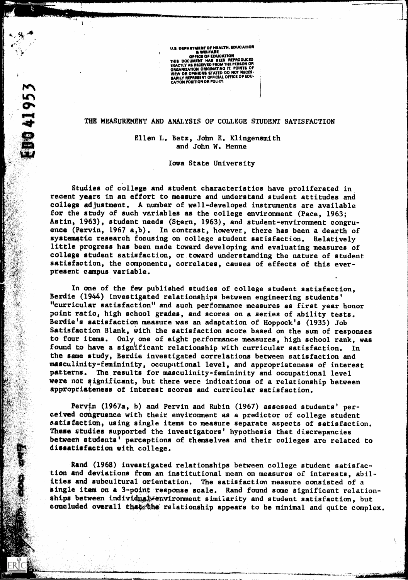U.S. DEPARTMENT OF HEALTH, EDUCATION A WELFARE OFFICE OF EDUCATION<br>THIS DOCUMENT HAS BEEN REPRODUCED<br>EXACTLY AS RECEIVED FROM THE PERSON OR<br>ORGANIZATION ORIGINATING IT. POINTS OF VIEW OR OPINIONS STATED DO NOT NECES-SARILY REPRESENT OFFICIAL OFFICE OF EDU-CATION POSITION OR POLICY.

 $\cdot$  44  $\cdot$   $\cdot$   $\cdot$   $\cdot$   $\cdot$   $\cdot$ 

1041953

#### THE MEASUREMENT AND ANALYSIS OF COLLEGE STUDENT SATISFACTION

Ellen L. Bets, John E. Klingensmith and John W. Menne

Iowa State University

Studies of college and student characteristics have proliferated in recent years in an effort to measure and understand student attitudes and college adjustment. A number of well-developed instruments are available for the study of such variables as the college environment (Pace, 1963; Astin, 1963), student needs (Stern, 1963), and student-environment congruence (Pervin, 1967 a,b). In contrast, however, there has been a dearth of systematic research focusing on college student satisfaction. Relatively little progress has been made toward developing and evaluating measures of college student satisfaction, or toward understanding the nature of student satisfaction, the components, correlates, causes of effects of this everpresent campus variable.

In one of the few published studies of college student satisfaction, Berdie (1944) investigated relationships between engineering students' curricular satisfaction" and such performance measures as first year honor point ratio, high school grades, and scores on a series of ability tests. Berdie's satisfaction measure was an adaptation of Hoppock's (1935) Job Satisfaction Blank, with the satisfaction score based on the sum of responses to four items. Only one of eight performance measures, high school rank, was found to have a significant relationship with curricular satisfaction. In the game study, Berdie investigated correlations between satisfaction and masculinity-femininity, occupational level, and appropriateness of interest patterns. The results for masculinity-femininity and occupational level were not significant, but there were indications of a relationship between appropriateness of interest scores and curricular satisfaction.

Pervin (1967a, b) and Pervin and Rubin (1967) assessed students' pereived congruence with their environment as a predictor of college student satisfaction, using single items to measure separate aspects of satisfaction. These studies supported the investigators' hypothesis that discrepancies between students' perceptions of themselves and their colleges are related to dissatisfaction with college.

Rand (1968) investigated relationships between college student satisfaction and deviations from an institutional mean on measures of interests, abilities and subcultural orientation. The satisfaction measure consisted of a single item on a 3-point response scale. Rand found some significant relationships between individus senvironment similarity and student satisfaction, but concluded overall that the relationship appears to be minimal and quite complex.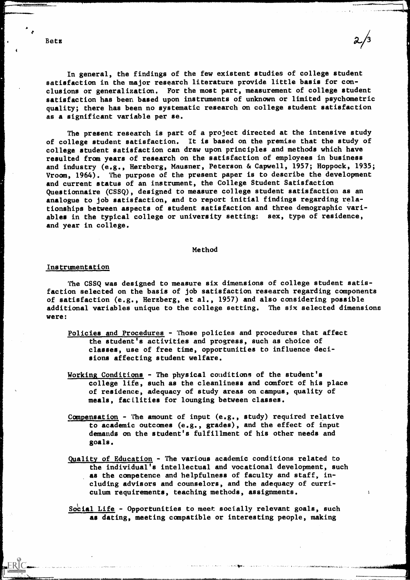In general, the findings of the few existent studies of college student satisfaction in the major research literature provide little basis for conclusions or generalization. For the most part, measurement of college student satisfaction has been based upon instruments of unknown or limited psychometric quality; there has been no systematic research on college student satisfaction as a significant variable per se.

The present research is part of a project directed at the intensive study of college student satisfaction. It is based on the premise that the study of college student satisfaction can draw upon principles and methods which have resulted from years of research on the satisfaction of employees in business and industry (e.g., Herzberg, Mausner, Peterson & Capwell, 1957; Hoppock, 1935; Vroom, 1964). The purpose of the present paper is to describe the development and current status of an instrument, the College Student Satisfaction Questionnaire (CSSQ), designed to measure college student satisfaction as an analogue to job satisfaction, and to report initial findings regarding relationships between aspects of student satisfaction and three demographic variables in the typical college or university setting: sex, type of residence, and year in college.

#### Method

#### Instrumentation

The CSSQ was designed to measure six dimensions of college student satisfaction selected on the basis of job satisfaction research regarding components of satisfaction (e.g., Herzberg, et al., 1957) and also considering possible additional variables unique to the college setting. The six selected dimensions were:

- Policies and Procedures Those policies and procedures that affect the student's activities and progress, such as choice of classes, use of free time, opportunities to influence decisions affecting student welfare.
- Working Conditions The physical conditions of the student's college life, such as the cleanliness and comfort of his place of residence, adequacy of study areas on campus, quality of meals, facilities for lounging between classes.
- Compensation The amount of input  $(e.g., study)$  required relative to academic outcomes (e.g., grades), and the effect of input demands on the student's fulfillment of his other needs and goals.
- Quality of Education The various academic conditions related to the individual's intellectual and vocational development, such as the competence and helpfulness of faculty and staff, including advisors and counselors, and the adequacy of curriculum requirements, teaching methods, assignments.
- Social Life Opportunities to meet socially relevant goals, such as dating, meeting compatible or interesting people, making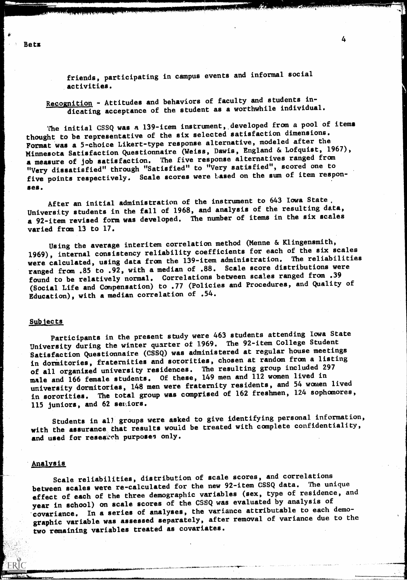friends, participating in campus events and informal social activities.

Recognition - Attitudes and behaviors of faculty and students indicating acceptance of the student as a worthwhile individual.

The initial CSSQ was a 139-item instrument, developed from a pool of items thought to be representative of the six selected satisfaction dimensions. Format was a 5-choice Likert-type response alternative, modeled after the Minnesota Satisfaction Questionnaire (Weiss, Dawis, England & Lofquist, 1967), a measure of job satisfaction. The five response alternatives ranged from "Very dissatisfied" through "Satisfied" to "Very satisfied", scored one to five points respectively. Scale scores were based on the sum of item responses.

After an initial administration of the instrument to 643 Iowa State, University students in the fall of 1968, and analysis of the resulting data, a 92-item revised form was developed. The number of items in the six scales varied from 13 to 17.

Using the average interitem correlation method (Menne & Klingensmith, 1969), internal consistency reliability coefficients for each of the six scales were calculated, using data from the 139-item administration. The reliabilities ranged from .85 to .92, with a median of .88. Scale score distributions were found to be relatively normal. Correlations between scales ranged from .39 (Social Life and Compensation) to .77 (Policies and Procedures, and Quality of Education), with a median correlation of .54.

#### Subiects,

Participants in the present study were 463 students attending Iowa State University during the winter quarter of 1969. The 92-item College Student Satisfaction Questionnaire (CSSQ) was administered at regular house meetings in dormitories, fraternities and sororities, chosen at random from a listing of all organized university residences. The resulting group included <sup>297</sup> male and 166 female students. Of these, 149 men and 112 women lived in university dormitories, 148 men were fraternity residents, and 54 women lived in sororities. The total group was comprised of 162 freshmen, 124 sophomores, 115 juniors, and 62 seniors.

Students in all groups were asked to give identifying personal information, with the assurance that results would be treated with complete confidentiality, and used for research purposes only.

#### Analysis

Scale reliabilities, distribution of scale scores, and correlations between scales were re-calculated for the new 92-item CSSQ data. The unique effect of each of the three demographic variables (sex, type of residence, and year in school) on scale scores of the CSSQ was evaluated by analysis of covariance. In a series of analyses, the variance attributable to each demographic variable was assessed separately, after removal of variance due to the two remaining variables treated as covariates.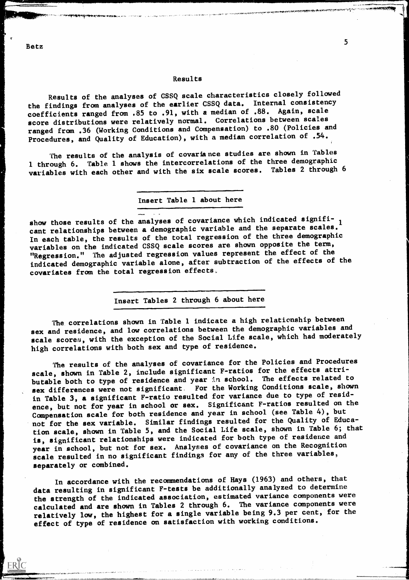#### Results

Results of the analyses of CSSQ scale characteristics closely followed the findings from analyses of the earlier CSSQ data. Internal consistency coefficients ranged from .85 to .91, with a median of .88. Again, scale score distributions were relatively normal. Correlations between scales ranged from .36 (Working Conditions and Compensation) to .80 (Policies and Procedures, and Quality of Education), with a median correlation of .54.

The results of the analysis of covariance studies are shown in Tables 1 through 6. Table 1 shows the intercorrelations of the three demographic variables with each other and with the six scale scores. Tables 2 through 6

Insert Table 1 about here

show those results of the analyses of covariance which indicated signifi-  $_1$ cant relationships between a demographic variable and the separate scales. In each table, the results of the total regression of the three demographic variables on the indicated CSSQ scale scores are shown opposite the term, "Regression." The adjusted regression values represent the effect of the indicated demographic variable alone, after subtraction of the effects of the covariates from the total regression effects

Insert Tables 2 through 6 about here

The correlations shown in Table 1 indicate a high relationship between sex and residence, and low correlations between the demographic variables and scale scores, with the exception of the Social Life scale, which had moderately high correlations with both sex and type of residence.

The results of the analyses of covariance for the Policies and Procedures scale, shown in Table 2, include significant F-ratios for the effects attributable both to type of residence and year in school. The effects related to sex differences were not significant. For the Working Conditions scale, shown in Table 3, a significant F-ratio resulted for variance due to type of residence, but not for year in school or sex. Significant F-ratios resulted on the Compensation scale for both residence and year in school (see Table 4), but not for the sex variable. Similar findings resulted for the Quality of Education scale, shown in Table 5, and the Social Life scale, shown in Table 6; that is, significant relationships were indicated for both type of residence and year in school, but not for sex. Analyses of covariance on the Recognition scale resulted in no significant findings for any of the three variables, separately or combined.

In accordance with the recommendations of Hays (1963) and others, that data resulting in significant F-tests be additionally analyzed to determine the strength of the indicated association, estimated variance components were calculated and are shown in Tables 2 through 6. The variance components were relatively low, the highest for a single variable being 9.3 per cent, for the effect of type of residence on satisfaction with working conditions.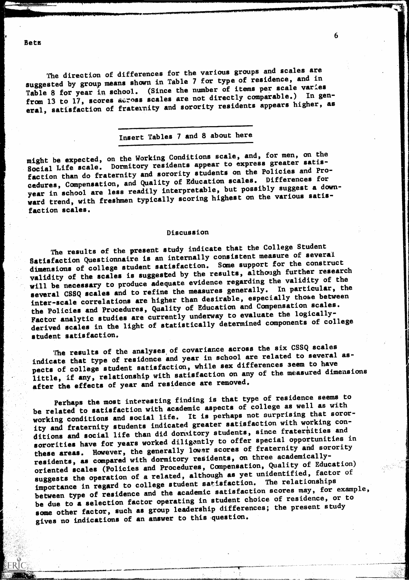Bets

The direction of differences for the various groups and scales are suggested by group means shown in Table 7 for type of residence, and in Table 8 for year in school. (Since the number of items per scale varies from 13 to 17, scores across scales are not directly comparable.) In general, satisfaction of fraternity and sorority residents appears higher, as

# Insert Tables 7 and 8 about here

might be expected, on the Working Conditions scale, and, for men, on the Social Life scale. Dormitory residents appear to express greater satisfaction than do fraternity and sorority students on the Policies and Procedures, Compensation, and Quality of Education scales. Differences for year in school are less readily interpretable, but possibly suggest a downward trend, with freshmen typically scoring highest on the various satisfaction scales.

### Discussion

The results of the present study indicate that the College Student Satisfaction Questionnaire is an internally consistent measure of several dimensions of college student satisfaction. Some support for the construct validity of the scales is suggested by the results, although further research will be necessary to produce adequate evidence regarding the validity of the several CSSQ scales and to refine the measures generally. In particular, the inter-scale correlations are higher than desirable, especially those between the Policies and Procedures, Quality of Education and Compensation scales. Factor analytic studies are currently underway to evaluate the logicallyderived scales in the light of statistically determined components of college student satisfaction.

The results of the analyses of covariance across the six CSSQ scales indicate that type of residence and year in school are related to several aspects of college student satisfaction, while sex differences seem to have little, if any, relationship with satisfaction on any of the measured dimensions after the effects of year and residence are removed.

Perhaps the most interesting finding is that type of residence seems to be related to satisfaction with academic aspects of college as well as with working conditions and social life. It is perhaps not surprising that sorority and fraternity students indicated greater satisfaction with working conditions and social life than did dormitory students, since fraternities and sororities have for years worked diligently to offer special opportunities in these areas. However, the generally lower scores of fraternity and sorority residents, as compared with dormitory residents, on three academicallyoriented scales (Policies and Procedures, Compensation, Quality of Education) suggests the operation of a related, although as yet unidentified, factor of importance in regard to college student satisfaction. The relationships between type of residence and the academic satisfaction scores may, for example, be due to a selection factor operating in student choice of residence, or to some other factor, such as group leadership differences; the present study gives no indications of an answer to this question.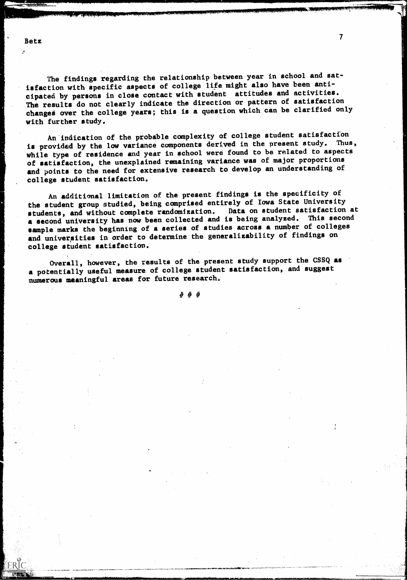$\cdot$ 

ERIC

The findings regarding the relationship between year in school and satisfaction with specific aspects of college life might also have been anticipated by persons in close contact with student attitudes and activities. The results do not clearly indicate the direction or pattern of satisfaction changes over the college years; this is a question which can be clarified only with further study.

An indication of the probable complexity of college student satisfaction<br>idea is the larger in the components derived in the present study. Thus, is provided by the low variance components derived in the present study. while type of residence and year in school were found to be related to aspects of satisfaction, the unexplained remaining variance was of major proportions and points to the need for extensive research to develop an understanding of college student satisfaction.

An additional limitation of the present findings is the specificity of the student group studied, being comprised entirely of Iowa State University<br>students, and without complete randomization. Data on student satisfaction at students, and without complete randomization. a second university has now been collected and is being analyzed. This second sample marks the beginning of a series of studies across a number of colleges and universities in order to determine the generalizability of findings on college student satisfaction.

Overall, however, the results of the present study support the GSSQ as a potentially useful measure of college student satisfaction, and suggest numerous meaningful areas for future research,

# # #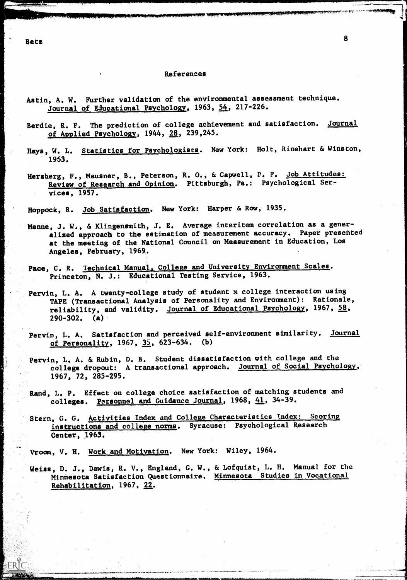Betz

#### References

- Astin, A. W. Further validation of the environmental assessment technique. Journal of Educational Psychology, 1963, 54, 217-226.
- Berdie, R. F. The prediction of college achievement and satisfaction. Journal of Applied Psychology, 1944, 28, 239, 245.
- Hays, W. L. Statistics for Psychologists. New York: Holt, Rinehart & Winston, 1963.
- Herzberg, F., Mausner, B., Peterson, R. O., & Capwell, P. F. Job Attitudes: Review of Research and Opinion. Pittsburgh, Pa.: Psychological Services, 1957.

Hoppock, R. Job Satisfaction. New York: Harper & Row, 1935.

- Menne, J. W., & Klingensmith, J. E. Average interitem correlation as a generalized approach to the estimation of measurement accuracy. Paper presented at the meeting of the National Council on Measurement in Education, Los Angeles, February, 1969.
- Pace, C. R. Technical Manual, College and University Environment Scales. Princeton, N. J.: Educational Testing Service, 1963.
- Pervin, L. A. A twenty-college study of student x college interaction using TAPE (Transactional Analysis of Personality and Environment): Rationale, reliability, and validity. Journal of Educational Psychology, 1967, 58,  $290-302$ . (a)
- Pervin, L. A. Sattsfaction and perceived self-environment similarity. Journal of Personality, 1967,  $35$ , 623-634. (b)
- Pervin, L. A. & Rubin, D. B. Student dissatisfaction with college and the college dropout: A transactional approach. Journal of Social Psychology, 1967, 72, 285-295.
- Rand, L. P. Effect on college choice satisfaction of matching students and colleges. Personnel and Guidance Journal, 1968, 41, 34-39.
- Stern, G. G. Activities Index and College Characteristics Index: Scoring instructions and college norms. Syracuse: Psychological Research Center, 1963

Vroom, V. H. Work and Motivation. New York: Wiley, 1964.

Weiss, D. J., Dawis, R. V., England, G. W., & Lofquist, L. H. Manual for the Minnesota Satisfaction Questionnaire. Minnesota Studies in Vocational Rehabilitation, 1967, 22.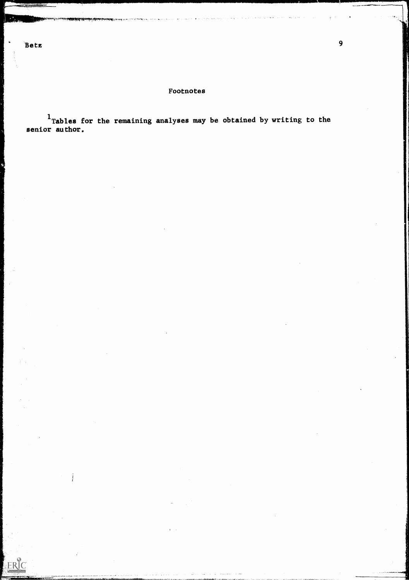Ĵ.

ERIC

## Footnotes

<sup>1</sup> Tables for the remaining analyses may be obtained by writing to the senior author.

 $1\leq i\leq n$ 

 $\frac{1}{2}$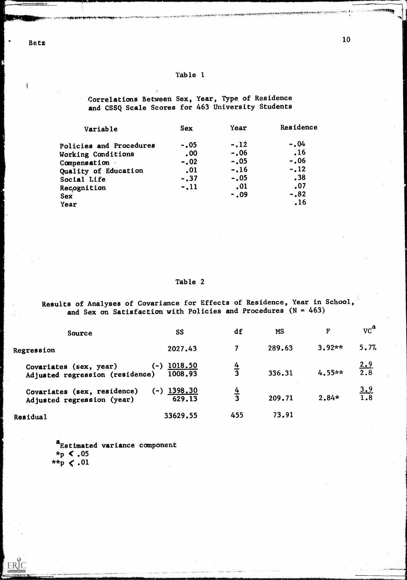Betz

Image of the contract of the

Correlations Between Sex, Year, Type of Residence and CSSQ Scale Scores for 463 University Students

| Variable                | <b>Sex</b> | Year    | Residence |  |
|-------------------------|------------|---------|-----------|--|
| Policies and Procedures | $-.05$     | $-.12$  | $-.04$    |  |
| Working Conditions      | $.00 \,$   | $-.06$  | .16       |  |
| Compensation            | $-.02$     | $-.05$  | $-.06$    |  |
| Quality of Education    | .01        | $-.16$  | $-.12$    |  |
| Social Life             | $-.37$     | $-.05$  | .38       |  |
| Recognition             | $-.11$     | .01     | .07       |  |
| <b>Sex</b>              |            | $-0.09$ | $-.82$    |  |
| Year                    |            |         | .16       |  |

## Table 2

Results of Analyses of Covariance for Effects of Residence, Year in School, and Sex on Satisfaction with Policies and Procedures  $(N = 463)$ 

| Source                                                    | <b>SS</b>                   | df             | <b>MS</b> | F        | $\mathrm{VC}^{\mathbf{a}}$ |
|-----------------------------------------------------------|-----------------------------|----------------|-----------|----------|----------------------------|
| Regression                                                | 2027.43                     |                | 289.63    | $3.92**$ | 5.7%                       |
| Covariates (sex, year)<br>Adjusted regression (residence) | 1018.50<br>$(-)$<br>1008.93 | <u>4</u>       | 336.31    | $4.55**$ | 2.9<br>$\overline{2.8}$    |
| Covariates (sex, residence)<br>Adjusted regression (year) | 1398.30<br>$(-)$<br>629.13  | $\overline{4}$ | 209.71    | $2.84*$  | 3.9<br>1.8                 |
| Residual                                                  | 33629.55                    | 455            | 73.91     |          |                            |

aEstimated variance component  $*_p$  < .05 \*\*p  $\lt.01$ 

ERIC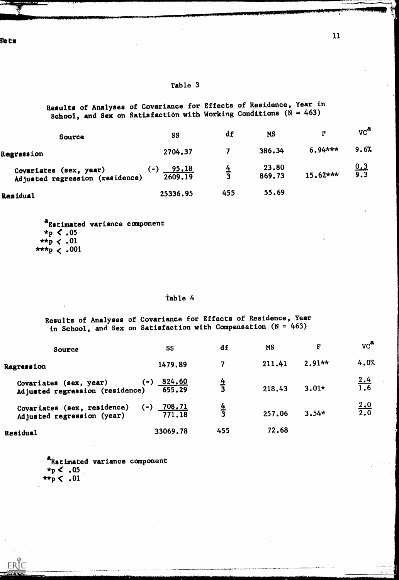ñe t s

## Table 3

Results of Analyses of Covariance for Effects of Residence, Year in School, and Sex on Satisfaction with Working Conditions (N = 463)

| <b>Source</b>                                             | <b>SS</b>                        | df          | <b>MS</b>       | $\mathbf{F}$ | $\mathbf{v}$ $\mathbf{c}^{\mathbf{a}}$ |
|-----------------------------------------------------------|----------------------------------|-------------|-----------------|--------------|----------------------------------------|
| Regression                                                | 2704.37                          |             | 386.34          | $6.94***$    | 9.6%                                   |
| Covariates (sex, year)<br>Adjusted regression (residence) | <u>95.18</u><br>$(-)$<br>2609.19 | $rac{4}{3}$ | 23.80<br>869.73 | $15.62***$   | <u>0.3</u><br>9.3                      |
| Residual                                                  | 25336.95                         | 455         | 55.69           |              |                                        |

a<sub>Estimated</sub> variance component  $*_{p}$  < .05 \*\*p  $\langle .01 \rangle$ \*\*\*p  $\langle .001$ 

## Table 4

Results of Analyses of Covariance for Effects of Residence, Year in School, and Sex on Satisfaction with Compensation  $(N = 463)$ 

| Source                                                    | <b>SS</b>                                               | df            | <b>MS</b> | $\mathbf{F}$ | $\mathbf{v} \mathbf{c}^{\mathbf{a}}$ |
|-----------------------------------------------------------|---------------------------------------------------------|---------------|-----------|--------------|--------------------------------------|
| Regression                                                | 1479.89                                                 | 7             | 211.41    | $2.91**$     | 4.0%                                 |
| Covariates (sex, year)<br>Adjusted regression (residence) | <u>824.60</u><br>$(\textcolor{red}{\bullet})$<br>655.29 | $\frac{4}{3}$ | 218.43    | $3.01*$      | $\frac{2.4}{1.6}$                    |
| Covariates (sex, residence)<br>Adjusted regression (year) | <u>708.71</u><br>(-)<br>771.18                          | $\frac{4}{3}$ | 257.06    | $3.54*$      | $\frac{2.0}{2.0}$                    |
| Residual                                                  | 33069.78                                                | 455           | 72.68     |              |                                      |

aEstimated variance component  $*_{p}$  < .05  $\mathbf{v}_{\mathbf{p}}< .01$ 

ERIC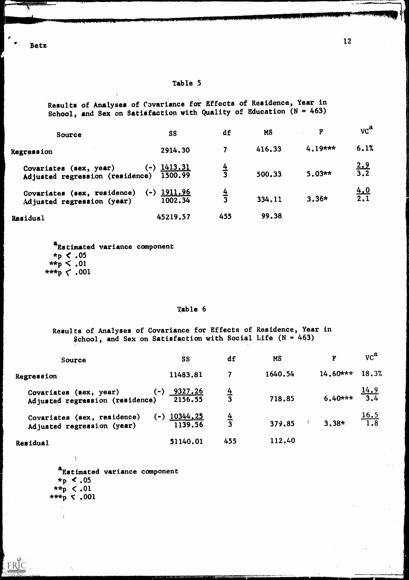Bets

 $\mathcal{D}$ 

## Table 5

Results of Analyses of Covariance for Effects of Residence, Year in School, and Sex on Satisfaction with Quality of Education  $(N = 463)$ 

| Source                                                             | <b>SS</b>                          | df            | <b>MS</b> | F         | $\mathbf{v} \mathbf{c}^{\mathbf{a}}$ |
|--------------------------------------------------------------------|------------------------------------|---------------|-----------|-----------|--------------------------------------|
| Regression                                                         | 2914.30                            |               | 416.33    | $4.19***$ | 6.1%                                 |
| Covariates (sex, year)<br>Adjusted regression (residence)          | <u>1413.31</u><br>$(-)$<br>1500.99 | $\frac{4}{3}$ | 500.33    | $5.03**$  | $\frac{2.9}{3.2}$                    |
| Covariates (sex, residence)<br>$(-)$<br>Adjusted regression (year) | <u> 1911.96</u><br>1002.34         | $\frac{4}{3}$ | 334.11    | $3.36*$   | $\frac{4.0}{2.1}$                    |
| Residual                                                           | 45219.57                           | 455           | 99.38     |           |                                      |

<sup>a</sup>Estimated variance component  $*_p$  < .05  $*_{\mathbf{p}} < .01$  $***p < .001$ 

### Table 6

Results of Analyses of Covariance for Effects of Residence, Year in \$chool, and Sex on Satisfaction with Social Life ( $N = 463$ )

| Source                                                    | <b>SS</b>                           | df            | <b>MS</b> | $\mathbf{F}$ | $\mathbf{v} \mathbf{c}^{\mathbf{a}}$ |
|-----------------------------------------------------------|-------------------------------------|---------------|-----------|--------------|--------------------------------------|
| Regression                                                | 11483.81                            | 7             | 1640.54   | $14.60***$   | 18.3%                                |
| Covariates (sex, year)<br>Adjusted regression (residence) | 9327.26<br>$(-)$<br>2156.55         | $\frac{4}{3}$ | 718.85    | $6.40***$    | <u>14.9</u><br>3.4                   |
| Covariates (sex, residence)<br>Adjusted regression (year) | <u>10344,25</u><br>$(-)$<br>1139.56 | $\frac{4}{3}$ | 379.85    | $3.38*$      | $\frac{16.5}{1.8}$                   |
| Residual                                                  | 51140.01                            | 455           | 112.40    |              |                                      |

a<br>Estimated variance component .05  $\star \star_{\rm p} \; < .01$ \*\*\*p t .001

 $\mathbf i$ 

ERIC